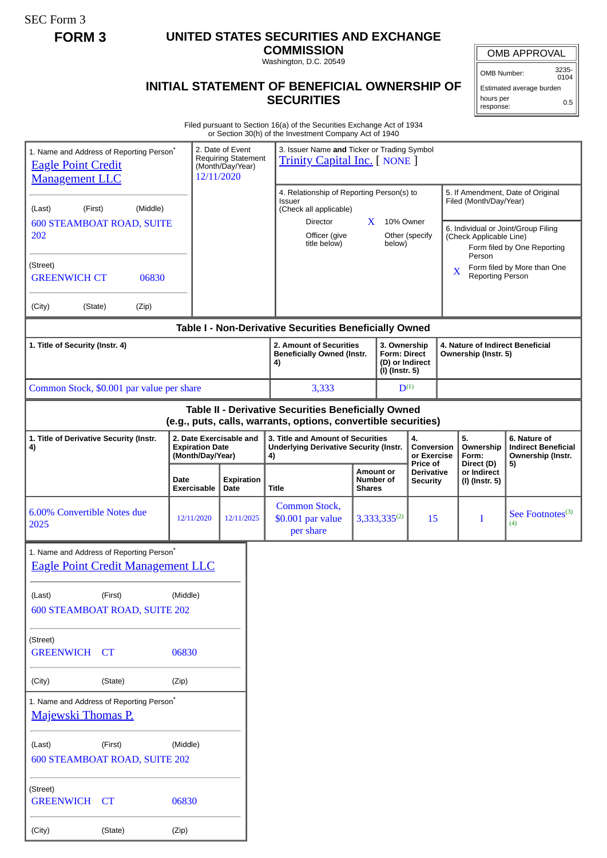SEC Form 3

## **FORM 3 UNITED STATES SECURITIES AND EXCHANGE**

**COMMISSION** Washington, D.C. 20549

## **INITIAL STATEMENT OF BENEFICIAL OWNERSHIP OF SECURITIES**

OMB APPROVAL

OMB Number: 3235- 0104

Estimated average burden hours per response: 0.5

Filed pursuant to Section 16(a) of the Securities Exchange Act of 1934 or Section 30(h) of the Investment Company Act of 1940

| 1. Name and Address of Reporting Person <sup>®</sup><br><b>Eagle Point Credit</b><br><b>Management LLC</b>                            |                                          | 12/11/2020                                                            | 2. Date of Event<br><b>Requiring Statement</b><br>(Month/Day/Year) |                                                            | 3. Issuer Name and Ticker or Trading Symbol<br><b>Trinity Capital Inc.</b> [ NONE ]           |                               |                                             |                                                                                                                                                                        |                                        |                                                                       |  |
|---------------------------------------------------------------------------------------------------------------------------------------|------------------------------------------|-----------------------------------------------------------------------|--------------------------------------------------------------------|------------------------------------------------------------|-----------------------------------------------------------------------------------------------|-------------------------------|---------------------------------------------|------------------------------------------------------------------------------------------------------------------------------------------------------------------------|----------------------------------------|-----------------------------------------------------------------------|--|
| (First)<br>(Middle)<br>(Last)<br><b>600 STEAMBOAT ROAD, SUITE</b><br>202                                                              |                                          |                                                                       |                                                                    | <b>Issuer</b><br>Director<br>Officer (give<br>title below) | 4. Relationship of Reporting Person(s) to<br>(Check all applicable)<br>X                      |                               | 10% Owner<br>Other (specify<br>below)       | 5. If Amendment, Date of Original<br>Filed (Month/Day/Year)<br>6. Individual or Joint/Group Filing<br>(Check Applicable Line)<br>Form filed by One Reporting<br>Person |                                        |                                                                       |  |
| (Street)<br><b>GREENWICH CT</b>                                                                                                       | 06830                                    |                                                                       |                                                                    |                                                            |                                                                                               |                               |                                             | X                                                                                                                                                                      | Reporting Person                       | Form filed by More than One                                           |  |
| (City)<br>(State)                                                                                                                     | (Zip)                                    |                                                                       |                                                                    |                                                            |                                                                                               |                               |                                             |                                                                                                                                                                        |                                        |                                                                       |  |
| Table I - Non-Derivative Securities Beneficially Owned<br>2. Amount of Securities<br>3. Ownership<br>4. Nature of Indirect Beneficial |                                          |                                                                       |                                                                    |                                                            |                                                                                               |                               |                                             |                                                                                                                                                                        |                                        |                                                                       |  |
| 1. Title of Security (Instr. 4)                                                                                                       |                                          |                                                                       |                                                                    | 4)                                                         | <b>Beneficially Owned (Instr.</b><br><b>Form: Direct</b><br>(D) or Indirect<br>(I) (Instr. 5) |                               |                                             | Ownership (Instr. 5)                                                                                                                                                   |                                        |                                                                       |  |
| Common Stock, \$0.001 par value per share                                                                                             |                                          |                                                                       |                                                                    | 3,333                                                      |                                                                                               | $D^{(1)}$                     |                                             |                                                                                                                                                                        |                                        |                                                                       |  |
| Table II - Derivative Securities Beneficially Owned<br>(e.g., puts, calls, warrants, options, convertible securities)                 |                                          |                                                                       |                                                                    |                                                            |                                                                                               |                               |                                             |                                                                                                                                                                        |                                        |                                                                       |  |
| 1. Title of Derivative Security (Instr.<br>4)                                                                                         |                                          | 2. Date Exercisable and<br><b>Expiration Date</b><br>(Month/Day/Year) |                                                                    | 4)                                                         | 3. Title and Amount of Securities<br><b>Underlying Derivative Security (Instr.</b>            |                               | 4.<br>Conversion<br>or Exercise<br>Price of |                                                                                                                                                                        | 5.<br>Ownership<br>Form:<br>Direct (D) | 6. Nature of<br><b>Indirect Beneficial</b><br>Ownership (Instr.<br>5) |  |
|                                                                                                                                       |                                          | Date<br>Exercisable                                                   | <b>Expiration</b><br>Date                                          | Title                                                      | <b>Shares</b>                                                                                 | <b>Amount or</b><br>Number of | <b>Derivative</b><br><b>Security</b>        |                                                                                                                                                                        | or Indirect<br>(I) (Instr. 5)          |                                                                       |  |
| 6.00% Convertible Notes due<br>2025                                                                                                   |                                          | 12/11/2020                                                            | 12/11/2025                                                         | Common Stock,<br>\$0.001 par value<br>per share            |                                                                                               | $3,333,335^{(2)}$<br>15       |                                             |                                                                                                                                                                        | Ι                                      | See Footnotes <sup>(3)</sup><br>(4)                                   |  |
| 1. Name and Address of Reporting Person <sup>*</sup><br><b>Eagle Point Credit Management LLC</b>                                      |                                          |                                                                       |                                                                    |                                                            |                                                                                               |                               |                                             |                                                                                                                                                                        |                                        |                                                                       |  |
| (Last)                                                                                                                                | (First)<br>600 STEAMBOAT ROAD, SUITE 202 | (Middle)                                                              |                                                                    |                                                            |                                                                                               |                               |                                             |                                                                                                                                                                        |                                        |                                                                       |  |
| (Street)<br><b>GREENWICH CT</b>                                                                                                       |                                          | 06830                                                                 |                                                                    |                                                            |                                                                                               |                               |                                             |                                                                                                                                                                        |                                        |                                                                       |  |
| (City)                                                                                                                                | (State)                                  | (Zip)                                                                 |                                                                    |                                                            |                                                                                               |                               |                                             |                                                                                                                                                                        |                                        |                                                                       |  |
| 1. Name and Address of Reporting Person <sup>*</sup><br><b>Majewski Thomas P.</b>                                                     |                                          |                                                                       |                                                                    |                                                            |                                                                                               |                               |                                             |                                                                                                                                                                        |                                        |                                                                       |  |
| (Last)                                                                                                                                | (First)<br>600 STEAMBOAT ROAD, SUITE 202 | (Middle)                                                              |                                                                    |                                                            |                                                                                               |                               |                                             |                                                                                                                                                                        |                                        |                                                                       |  |
| (Street)<br><b>GREENWICH</b>                                                                                                          | CT                                       | 06830                                                                 |                                                                    |                                                            |                                                                                               |                               |                                             |                                                                                                                                                                        |                                        |                                                                       |  |
| (City)                                                                                                                                | (State)                                  | (Zip)                                                                 |                                                                    |                                                            |                                                                                               |                               |                                             |                                                                                                                                                                        |                                        |                                                                       |  |